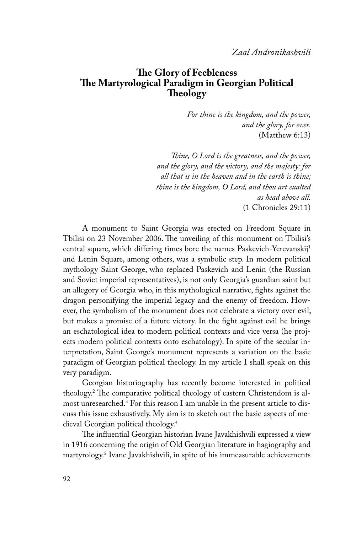# **The Glory of Feebleness The Martyrological Paradigm in Georgian Political Theology**

*For thine is the kingdom, and the power, and the glory, for ever.* (Matthew 6:13)

*Thine, O Lord is the greatness, and the power, and the glory, and the victory, and the majesty: for all that is in the heaven and in the earth is thine; thine is the kingdom, O Lord, and thou art exalted as head above all.* (1 Chronicles 29:11)

A monument to Saint Georgia was erected on Freedom Square in Tbilisi on 23 November 2006. The unveiling of this monument on Tbilisi's central square, which differing times bore the names Paskevich-Yerevanskij1 and Lenin Square, among others, was a symbolic step. In modern political mythology Saint George, who replaced Paskevich and Lenin (the Russian and Soviet imperial representatives), is not only Georgia's guardian saint but an allegory of Georgia who, in this mythological narrative, fights against the dragon personifying the imperial legacy and the enemy of freedom. However, the symbolism of the monument does not celebrate a victory over evil, but makes a promise of a future victory. In the fight against evil he brings an eschatological idea to modern political contexts and vice versa (he projects modern political contexts onto eschatology). In spite of the secular interpretation, Saint George's monument represents a variation on the basic paradigm of Georgian political theology. In my article I shall speak on this very paradigm.

Georgian historiography has recently become interested in political theology.2 The comparative political theology of eastern Christendom is almost unresearched. $3$  For this reason I am unable in the present article to discuss this issue exhaustively. My aim is to sketch out the basic aspects of medieval Georgian political theology.4

The influential Georgian historian Ivane Javakhishvili expressed a view in 1916 concerning the origin of Old Georgian literature in hagiography and martyrology.5 Ivane Javakhishvili, in spite of his immeasurable achievements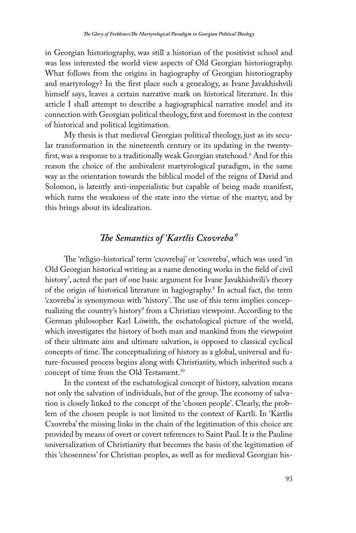in Georgian historiography, was still a historian of the positivist school and was less interested the world view aspects of Old Georgian historiography. What follows from the origins in hagiography of Georgian historiography and martyrology? In the first place such a genealogy, as Ivane Javakhishvili himself says, leaves a certain narrative mark on historical literature. In this article I shall attempt to describe a hagiographical narrative model and its connection with Georgian political theology, first and foremost in the context of historical and political legitimation.

My thesis is that medieval Georgian political theology, just as its secular transformation in the nineteenth century or its updating in the twentyfirst, was a response to a traditionally weak Georgian statehood.<sup>6</sup> And for this reason the choice of the ambivalent martyrological paradigm, in the same way as the orientation towards the biblical model of the reigns of David and Solomon, is latently anti-imperialistic but capable of being made manifest, which turns the weakness of the state into the virtue of the martyr, and by this brings about its idealization.

# *The Semantics of 'Kartlis Cxovreba'7*

The 'religio-historical' term 'cxovrebaj' or 'cxovreba', which was used 'in Old Georgian historical writing as a name denoting works in the field of civil history', acted the part of one basic argument for Ivane Javakhishvili's theory of the origin of historical literature in hagiography.<sup>8</sup> In actual fact, the term 'cxovreba' is synonymous with 'history'. The use of this term implies conceptualizing the country's history<sup>9</sup> from a Christian viewpoint. According to the German philosopher Karl Löwith, the eschatological picture of the world, which investigates the history of both man and mankind from the viewpoint of their ultimate aim and ultimate salvation, is opposed to classical cyclical concepts of time. The conceptualizing of history as a global, universal and future-focussed process begins along with Christianity, which inherited such a concept of time from the Old Testament.<sup>10</sup>

In the context of the eschatological concept of history, salvation means not only the salvation of individuals, but of the group. The economy of salvation is closely linked to the concept of the 'chosen people'. Clearly, the problem of the chosen people is not limited to the context of Kartli. In 'Kartlis Cxovreba' the missing links in the chain of the legitimation of this choice are provided by means of overt or covert references to Saint Paul. It is the Pauline universalization of Christianity that becomes the basis of the legitimation of this 'chosenness' for Christian peoples, as well as for medieval Georgian his-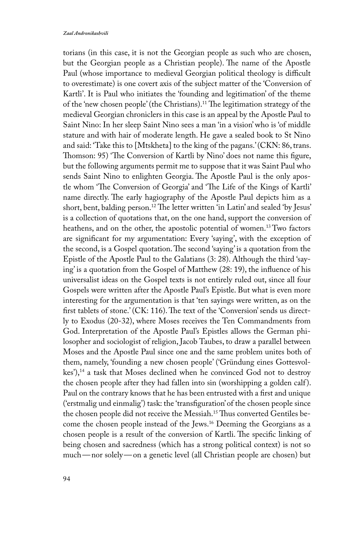torians (in this case, it is not the Georgian people as such who are chosen, but the Georgian people as a Christian people). The name of the Apostle Paul (whose importance to medieval Georgian political theology is difficult to overestimate) is one covert axis of the subject matter of the 'Conversion of Kartli'. It is Paul who initiates the 'founding and legitimation' of the theme of the 'new chosen people' (the Christians).11 The legitimation strategy of the medieval Georgian chroniclers in this case is an appeal by the Apostle Paul to Saint Nino: In her sleep Saint Nino sees a man 'in a vision' who is 'of middle stature and with hair of moderate length. He gave a sealed book to St Nino and said: 'Take this to [Mtskheta] to the king of the pagans.' (CKN: 86, trans. Thomson: 95) 'The Conversion of Kartli by Nino' does not name this figure, but the following arguments permit me to suppose that it was Saint Paul who sends Saint Nino to enlighten Georgia. The Apostle Paul is the only apostle whom 'The Conversion of Georgia' and 'The Life of the Kings of Kartli' name directly. The early hagiography of the Apostle Paul depicts him as a short, bent, balding person.<sup>12</sup> The letter written 'in Latin' and sealed 'by Jesus' is a collection of quotations that, on the one hand, support the conversion of heathens, and on the other, the apostolic potential of women.<sup>13</sup> Two factors are significant for my argumentation: Every 'saying', with the exception of the second, is a Gospel quotation. The second 'saying' is a quotation from the Epistle of the Apostle Paul to the Galatians (3: 28). Although the third 'saying' is a quotation from the Gospel of Matthew (28: 19), the influence of his universalist ideas on the Gospel texts is not entirely ruled out, since all four Gospels were written after the Apostle Paul's Epistle. But what is even more interesting for the argumentation is that 'ten sayings were written, as on the first tablets of stone.' (CK: 116). The text of the 'Conversion' sends us directly to Exodus (20-32), where Moses receives the Ten Commandments from God. Interpretation of the Apostle Paul's Epistles allows the German philosopher and sociologist of religion, Jacob Taubes, to draw a parallel between Moses and the Apostle Paul since one and the same problem unites both of them, namely, 'founding a new chosen people' ('Gründung eines Gottesvolkes'),<sup>14</sup> a task that Moses declined when he convinced God not to destroy the chosen people after they had fallen into sin (worshipping a golden calf ). Paul on the contrary knows that he has been entrusted with a first and unique ('erstmalig und einmalig') task: the 'transfiguration' of the chosen people since the chosen people did not receive the Messiah.15 Thus converted Gentiles become the chosen people instead of the Jews.16 Deeming the Georgians as a chosen people is a result of the conversion of Kartli. The specific linking of being chosen and sacredness (which has a strong political context) is not so much—nor solely—on a genetic level (all Christian people are chosen) but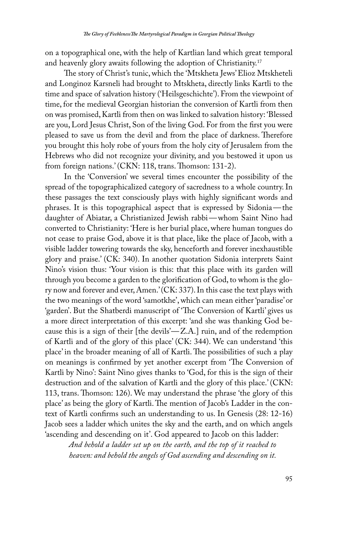on a topographical one, with the help of Kartlian land which great temporal and heavenly glory awaits following the adoption of Christianity.<sup>17</sup>

The story of Christ's tunic, which the 'Mtskheta Jews' Elioz Mtskheteli and Longinoz Karsneli had brought to Mtskheta, directly links Kartli to the time and space of salvation history ('Heilsgeschichte'). From the viewpoint of time, for the medieval Georgian historian the conversion of Kartli from then on was promised, Kartli from then on was linked to salvation history: 'Blessed are you, Lord Jesus Christ, Son of the living God. For from the first you were pleased to save us from the devil and from the place of darkness. Therefore you brought this holy robe of yours from the holy city of Jerusalem from the Hebrews who did not recognize your divinity, and you bestowed it upon us from foreign nations.' (CKN: 118, trans. Thomson: 131-2).

In the 'Conversion' we several times encounter the possibility of the spread of the topographicalized category of sacredness to a whole country. In these passages the text consciously plays with highly significant words and phrases. It is this topographical aspect that is expressed by Sidonia—the daughter of Abiatar, a Christianized Jewish rabbi—whom Saint Nino had converted to Christianity: 'Here is her burial place, where human tongues do not cease to praise God, above it is that place, like the place of Jacob, with a visible ladder towering towards the sky, henceforth and forever inexhaustible glory and praise.' (CK: 340). In another quotation Sidonia interprets Saint Nino's vision thus: 'Your vision is this: that this place with its garden will through you become a garden to the glorification of God, to whom is the glory now and forever and ever, Amen.' (CK: 337). In this case the text plays with the two meanings of the word 'samotkhe', which can mean either 'paradise' or 'garden'. But the Shatberdi manuscript of 'The Conversion of Kartli' gives us a more direct interpretation of this excerpt: 'and she was thanking God because this is a sign of their [the devils $Z.A$ ] ruin, and of the redemption of Kartli and of the glory of this place' (CK: 344). We can understand 'this place' in the broader meaning of all of Kartli. The possibilities of such a play on meanings is confirmed by yet another excerpt from 'The Conversion of Kartli by Nino': Saint Nino gives thanks to 'God, for this is the sign of their destruction and of the salvation of Kartli and the glory of this place.' (CKN: 113, trans. Thomson: 126). We may understand the phrase 'the glory of this place' as being the glory of Kartli. The mention of Jacob's Ladder in the context of Kartli confirms such an understanding to us. In Genesis (28: 12-16) Jacob sees a ladder which unites the sky and the earth, and on which angels 'ascending and descending on it'. God appeared to Jacob on this ladder:

*And behold a ladder set up on the earth, and the top of it reached to heaven: and behold the angels of God ascending and descending on it.*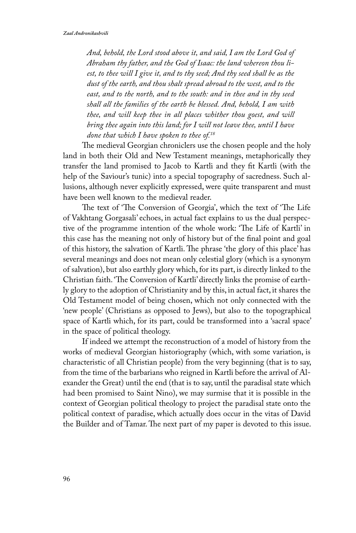*And, behold, the Lord stood above it, and said, I am the Lord God of Abraham thy father, and the God of Isaac: the land whereon thou liest, to thee will I give it, and to thy seed; And thy seed shall be as the dust of the earth, and thou shalt spread abroad to the west, and to the east, and to the north, and to the south: and in thee and in thy seed shall all the families of the earth be blessed. And, behold, I am with thee, and will keep thee in all places whither thou goest, and will bring thee again into this land; for I will not leave thee, until I have done that which I have spoken to thee of.18*

The medieval Georgian chroniclers use the chosen people and the holy land in both their Old and New Testament meanings, metaphorically they transfer the land promised to Jacob to Kartli and they fit Kartli (with the help of the Saviour's tunic) into a special topography of sacredness. Such allusions, although never explicitly expressed, were quite transparent and must have been well known to the medieval reader.

The text of 'The Conversion of Georgia', which the text of 'The Life of Vakhtang Gorgasali' echoes, in actual fact explains to us the dual perspective of the programme intention of the whole work: 'The Life of Kartli' in this case has the meaning not only of history but of the final point and goal of this history, the salvation of Kartli. The phrase 'the glory of this place' has several meanings and does not mean only celestial glory (which is a synonym of salvation), but also earthly glory which, for its part, is directly linked to the Christian faith. 'The Conversion of Kartli' directly links the promise of earthly glory to the adoption of Christianity and by this, in actual fact, it shares the Old Testament model of being chosen, which not only connected with the 'new people' (Christians as opposed to Jews), but also to the topographical space of Kartli which, for its part, could be transformed into a 'sacral space' in the space of political theology.

If indeed we attempt the reconstruction of a model of history from the works of medieval Georgian historiography (which, with some variation, is characteristic of all Christian people) from the very beginning (that is to say, from the time of the barbarians who reigned in Kartli before the arrival of Alexander the Great) until the end (that is to say, until the paradisal state which had been promised to Saint Nino), we may surmise that it is possible in the context of Georgian political theology to project the paradisal state onto the political context of paradise, which actually does occur in the vitas of David the Builder and of Tamar. The next part of my paper is devoted to this issue.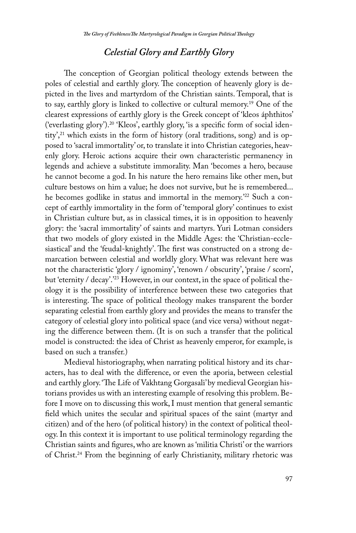# *Celestial Glory and Earthly Glory*

The conception of Georgian political theology extends between the poles of celestial and earthly glory. The conception of heavenly glory is depicted in the lives and martyrdom of the Christian saints. Temporal, that is to say, earthly glory is linked to collective or cultural memory.19 One of the clearest expressions of earthly glory is the Greek concept of 'kleos áphthitos' ('everlasting glory').20 'Kleos', earthly glory, 'is a specific form of social identity',<sup>21</sup> which exists in the form of history (oral traditions, song) and is opposed to 'sacral immortality' or, to translate it into Christian categories, heavenly glory. Heroic actions acquire their own characteristic permanency in legends and achieve a substitute immorality. Man 'becomes a hero, because he cannot become a god. In his nature the hero remains like other men, but culture bestows on him a value; he does not survive, but he is remembered... he becomes godlike in status and immortal in the memory.<sup>'22</sup> Such a concept of earthly immortality in the form of 'temporal glory' continues to exist in Christian culture but, as in classical times, it is in opposition to heavenly glory: the 'sacral immortality' of saints and martyrs. Yuri Lotman considers that two models of glory existed in the Middle Ages: the 'Christian-ecclesiastical' and the 'feudal-knightly'. The first was constructed on a strong demarcation between celestial and worldly glory. What was relevant here was not the characteristic 'glory / ignominy', 'renown / obscurity', 'praise / scorn', but 'eternity / decay'.'23 However, in our context, in the space of political theology it is the possibility of interference between these two categories that is interesting. The space of political theology makes transparent the border separating celestial from earthly glory and provides the means to transfer the category of celestial glory into political space (and vice versa) without negating the difference between them. (It is on such a transfer that the political model is constructed: the idea of Christ as heavenly emperor, for example, is based on such a transfer.)

Medieval historiography, when narrating political history and its characters, has to deal with the difference, or even the aporia, between celestial and earthly glory. 'The Life of Vakhtang Gorgasali' by medieval Georgian historians provides us with an interesting example of resolving this problem. Before I move on to discussing this work, I must mention that general semantic field which unites the secular and spiritual spaces of the saint (martyr and citizen) and of the hero (of political history) in the context of political theology. In this context it is important to use political terminology regarding the Christian saints and figures, who are known as 'militia Christi' or the warriors of Christ.24 From the beginning of early Christianity, military rhetoric was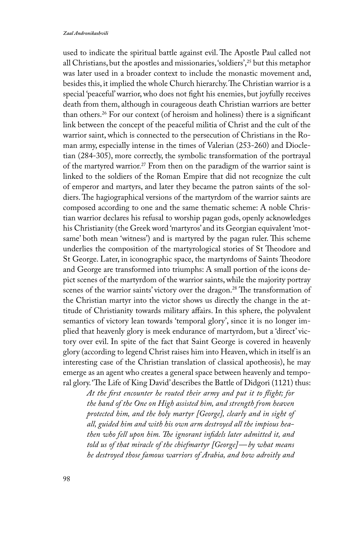used to indicate the spiritual battle against evil. The Apostle Paul called not all Christians, but the apostles and missionaries, 'soldiers',25 but this metaphor was later used in a broader context to include the monastic movement and, besides this, it implied the whole Church hierarchy. The Christian warrior is a special 'peaceful' warrior, who does not fight his enemies, but joyfully receives death from them, although in courageous death Christian warriors are better than others.26 For our context (of heroism and holiness) there is a significant link between the concept of the peaceful militia of Christ and the cult of the warrior saint, which is connected to the persecution of Christians in the Roman army, especially intense in the times of Valerian (253-260) and Diocletian (284-305), more correctly, the symbolic transformation of the portrayal of the martyred warrior.<sup>27</sup> From then on the paradigm of the warrior saint is linked to the soldiers of the Roman Empire that did not recognize the cult of emperor and martyrs, and later they became the patron saints of the soldiers. The hagiographical versions of the martyrdom of the warrior saints are composed according to one and the same thematic scheme: A noble Christian warrior declares his refusal to worship pagan gods, openly acknowledges his Christianity (the Greek word 'martyros' and its Georgian equivalent 'motsame' both mean 'witness') and is martyred by the pagan ruler. This scheme underlies the composition of the martyrological stories of St Theodore and St George. Later, in iconographic space, the martyrdoms of Saints Theodore and George are transformed into triumphs: A small portion of the icons depict scenes of the martyrdom of the warrior saints, while the majority portray scenes of the warrior saints' victory over the dragon.<sup>28</sup> The transformation of the Christian martyr into the victor shows us directly the change in the attitude of Christianity towards military affairs. In this sphere, the polyvalent semantics of victory lean towards 'temporal glory', since it is no longer implied that heavenly glory is meek endurance of martyrdom, but a 'direct' victory over evil. In spite of the fact that Saint George is covered in heavenly glory (according to legend Christ raises him into Heaven, which in itself is an interesting case of the Christian translation of classical apotheosis), he may emerge as an agent who creates a general space between heavenly and temporal glory. 'The Life of King David' describes the Battle of Didgori (1121) thus:

*At the first encounter he routed their army and put it to flight; for the hand of the One on High assisted him, and strength from heaven protected him, and the holy martyr [George], clearly and in sight of all, guided him and with his own arm destroyed all the impious heathen who fell upon him. The ignorant infidels later admitted it, and told us of that miracle of the chiefmartyr [George]—by what means he destroyed those famous warriors of Arabia, and how adroitly and*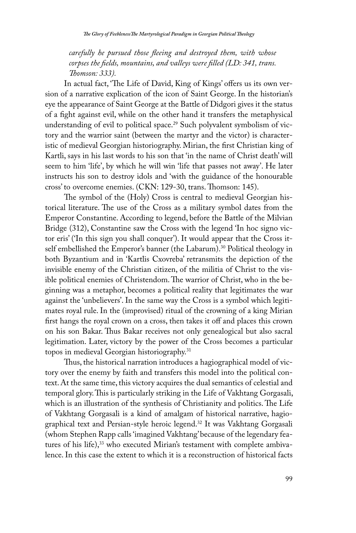*carefully he pursued those fleeing and destroyed them, with whose corpses the fields, mountains, and valleys were filled (LD: 341, trans. Thomson: 333).*

In actual fact, 'The Life of David, King of Kings' offers us its own version of a narrative explication of the icon of Saint George. In the historian's eye the appearance of Saint George at the Battle of Didgori gives it the status of a fight against evil, while on the other hand it transfers the metaphysical understanding of evil to political space.<sup>29</sup> Such polyvalent symbolism of victory and the warrior saint (between the martyr and the victor) is characteristic of medieval Georgian historiography. Mirian, the first Christian king of Kartli, says in his last words to his son that 'in the name of Christ death' will seem to him 'life', by which he will win 'life that passes not away'. He later instructs his son to destroy idols and 'with the guidance of the honourable cross' to overcome enemies. (CKN: 129-30, trans. Thomson: 145).

The symbol of the (Holy) Cross is central to medieval Georgian historical literature. The use of the Cross as a military symbol dates from the Emperor Constantine. According to legend, before the Battle of the Milvian Bridge (312), Constantine saw the Cross with the legend 'In hoc signo victor eris' ('In this sign you shall conquer'). It would appear that the Cross itself embellished the Emperor's banner (the Labarum).<sup>30</sup> Political theology in both Byzantium and in 'Kartlis Cxovreba' retransmits the depiction of the invisible enemy of the Christian citizen, of the militia of Christ to the visible political enemies of Christendom. The warrior of Christ, who in the beginning was a metaphor, becomes a political reality that legitimates the war against the 'unbelievers'. In the same way the Cross is a symbol which legitimates royal rule. In the (improvised) ritual of the crowning of a king Mirian first hangs the royal crown on a cross, then takes it off and places this crown on his son Bakar. Thus Bakar receives not only genealogical but also sacral legitimation. Later, victory by the power of the Cross becomes a particular topos in medieval Georgian historiography.<sup>31</sup>

Thus, the historical narration introduces a hagiographical model of victory over the enemy by faith and transfers this model into the political context. At the same time, this victory acquires the dual semantics of celestial and temporal glory. This is particularly striking in the Life of Vakhtang Gorgasali, which is an illustration of the synthesis of Christianity and politics. The Life of Vakhtang Gorgasali is a kind of amalgam of historical narrative, hagiographical text and Persian-style heroic legend.32 It was Vakhtang Gorgasali (whom Stephen Rapp calls 'imagined Vakhtang' because of the legendary features of his life),<sup>33</sup> who executed Mirian's testament with complete ambivalence. In this case the extent to which it is a reconstruction of historical facts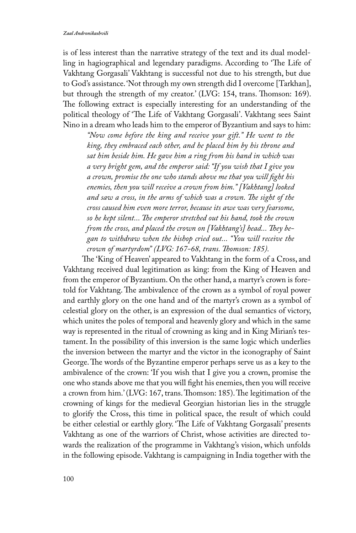is of less interest than the narrative strategy of the text and its dual modelling in hagiographical and legendary paradigms. According to 'The Life of Vakhtang Gorgasali' Vakhtang is successful not due to his strength, but due to God's assistance. 'Not through my own strength did I overcome [Tarkhan], but through the strength of my creator.' (LVG: 154, trans. Thomson: 169). The following extract is especially interesting for an understanding of the political theology of 'The Life of Vakhtang Gorgasali'. Vakhtang sees Saint Nino in a dream who leads him to the emperor of Byzantium and says to him:

*"Now come before the king and receive your gift." He went to the king, they embraced each other, and he placed him by his throne and sat him beside him. He gave him a ring from his hand in which was a very bright gem, and the emperor said: "If you wish that I give you a crown, promise the one who stands above me that you will fight his enemies, then you will receive a crown from him." [Vakhtang] looked and saw a cross, in the arms of which was a crown. The sight of the cross caused him even more terror, because its awe was very fearsome, so he kept silent... The emperor stretched out his hand, took the crown from the cross, and placed the crown on [Vakhtang's] head... They began to withdraw when the bishop cried out... "You will receive the crown of martyrdom" (LVG: 167-68, trans. Thomson: 185).*

The 'King of Heaven' appeared to Vakhtang in the form of a Cross, and Vakhtang received dual legitimation as king: from the King of Heaven and from the emperor of Byzantium. On the other hand, a martyr's crown is foretold for Vakhtang. The ambivalence of the crown as a symbol of royal power and earthly glory on the one hand and of the martyr's crown as a symbol of celestial glory on the other, is an expression of the dual semantics of victory, which unites the poles of temporal and heavenly glory and which in the same way is represented in the ritual of crowning as king and in King Mirian's testament. In the possibility of this inversion is the same logic which underlies the inversion between the martyr and the victor in the iconography of Saint George. The words of the Byzantine emperor perhaps serve us as a key to the ambivalence of the crown: 'If you wish that I give you a crown, promise the one who stands above me that you will fight his enemies, then you will receive a crown from him.' (LVG: 167, trans. Thomson: 185). The legitimation of the crowning of kings for the medieval Georgian historian lies in the struggle to glorify the Cross, this time in political space, the result of which could be either celestial or earthly glory. 'The Life of Vakhtang Gorgasali' presents Vakhtang as one of the warriors of Christ, whose activities are directed towards the realization of the programme in Vakhtang's vision, which unfolds in the following episode. Vakhtang is campaigning in India together with the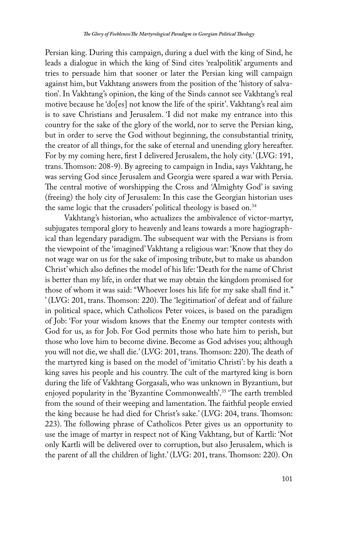Persian king. During this campaign, during a duel with the king of Sind, he leads a dialogue in which the king of Sind cites 'realpolitik' arguments and tries to persuade him that sooner or later the Persian king will campaign against him, but Vakhtang answers from the position of the 'history of salvation'. In Vakhtang's opinion, the king of the Sinds cannot see Vakhtang's real motive because he 'do[es] not know the life of the spirit'. Vakhtang's real aim is to save Christians and Jerusalem. 'I did not make my entrance into this country for the sake of the glory of the world, nor to serve the Persian king, but in order to serve the God without beginning, the consubstantial trinity, the creator of all things, for the sake of eternal and unending glory hereafter. For by my coming here, first I delivered Jerusalem, the holy city.' (LVG: 191, trans. Thomson: 208-9). By agreeing to campaign in India, says Vakhtang, he was serving God since Jerusalem and Georgia were spared a war with Persia. The central motive of worshipping the Cross and 'Almighty God' is saving (freeing) the holy city of Jerusalem: In this case the Georgian historian uses the same logic that the crusaders' political theology is based on.<sup>34</sup>

Vakhtang's historian, who actualizes the ambivalence of victor-martyr, subjugates temporal glory to heavenly and leans towards a more hagiographical than legendary paradigm. The subsequent war with the Persians is from the viewpoint of the 'imagined' Vakhtang a religious war: 'Know that they do not wage war on us for the sake of imposing tribute, but to make us abandon Christ' which also defines the model of his life: 'Death for the name of Christ is better than my life, in order that we may obtain the kingdom promised for those of whom it was said: "Whoever loses his life for my sake shall find it." ' (LVG: 201, trans. Thomson: 220). The 'legitimation' of defeat and of failure in political space, which Catholicos Peter voices, is based on the paradigm of Job: 'For your wisdom knows that the Enemy our tempter contests with God for us, as for Job. For God permits those who hate him to perish, but those who love him to become divine. Become as God advises you; although you will not die, we shall die.' (LVG: 201, trans. Thomson: 220). The death of the martyred king is based on the model of 'imitatio Christi': by his death a king saves his people and his country. The cult of the martyred king is born during the life of Vakhtang Gorgasali, who was unknown in Byzantium, but enjoyed popularity in the 'Byzantine Commonwealth'.35 'The earth trembled from the sound of their weeping and lamentation. The faithful people envied the king because he had died for Christ's sake.' (LVG: 204, trans. Thomson: 223). The following phrase of Catholicos Peter gives us an opportunity to use the image of martyr in respect not of King Vakhtang, but of Kartli: 'Not only Kartli will be delivered over to corruption, but also Jerusalem, which is the parent of all the children of light.' (LVG: 201, trans. Thomson: 220). On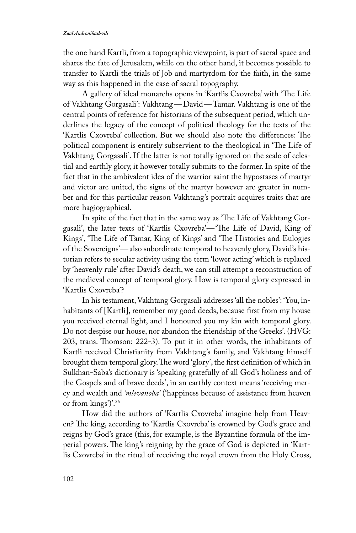the one hand Kartli, from a topographic viewpoint, is part of sacral space and shares the fate of Jerusalem, while on the other hand, it becomes possible to transfer to Kartli the trials of Job and martyrdom for the faith, in the same way as this happened in the case of sacral topography.

A gallery of ideal monarchs opens in 'Kartlis Cxovreba' with 'The Life of Vakhtang Gorgasali': Vakhtang—David—Tamar. Vakhtang is one of the central points of reference for historians of the subsequent period, which underlines the legacy of the concept of political theology for the texts of the 'Kartlis Cxovreba' collection. But we should also note the differences: The political component is entirely subservient to the theological in 'The Life of Vakhtang Gorgasali'. If the latter is not totally ignored on the scale of celestial and earthly glory, it however totally submits to the former. In spite of the fact that in the ambivalent idea of the warrior saint the hypostases of martyr and victor are united, the signs of the martyr however are greater in number and for this particular reason Vakhtang's portrait acquires traits that are more hagiographical.

In spite of the fact that in the same way as 'The Life of Vakhtang Gorgasali', the later texts of 'Kartlis Cxovreba'—'The Life of David, King of Kings', 'The Life of Tamar, King of Kings' and 'The Histories and Eulogies of the Sovereigns'—also subordinate temporal to heavenly glory, David's historian refers to secular activity using the term 'lower acting' which is replaced by 'heavenly rule' after David's death, we can still attempt a reconstruction of the medieval concept of temporal glory. How is temporal glory expressed in 'Kartlis Cxovreba'?

In his testament, Vakhtang Gorgasali addresses 'all the nobles': 'You, inhabitants of [Kartli], remember my good deeds, because first from my house you received eternal light, and I honoured you my kin with temporal glory. Do not despise our house, nor abandon the friendship of the Greeks'. (HVG: 203, trans. Thomson: 222-3). To put it in other words, the inhabitants of Kartli received Christianity from Vakhtang's family, and Vakhtang himself brought them temporal glory. The word 'glory', the first definition of which in Sulkhan-Saba's dictionary is 'speaking gratefully of all God's holiness and of the Gospels and of brave deeds', in an earthly context means 'receiving mercy and wealth and *'mlevanoba'* ('happiness because of assistance from heaven or from kings')'.36

How did the authors of 'Kartlis Cxovreba' imagine help from Heaven? The king, according to 'Kartlis Cxovreba' is crowned by God's grace and reigns by God's grace (this, for example, is the Byzantine formula of the imperial powers. The king's reigning by the grace of God is depicted in 'Kartlis Cxovreba' in the ritual of receiving the royal crown from the Holy Cross,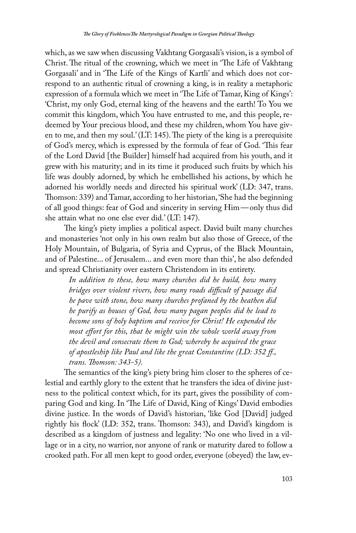which, as we saw when discussing Vakhtang Gorgasali's vision, is a symbol of Christ. The ritual of the crowning, which we meet in 'The Life of Vakhtang Gorgasali' and in 'The Life of the Kings of Kartli' and which does not correspond to an authentic ritual of crowning a king, is in reality a metaphoric expression of a formula which we meet in 'The Life of Tamar, King of Kings': 'Christ, my only God, eternal king of the heavens and the earth! To You we commit this kingdom, which You have entrusted to me, and this people, redeemed by Your precious blood, and these my children, whom You have given to me, and then my soul.' (LT: 145). The piety of the king is a prerequisite of God's mercy, which is expressed by the formula of fear of God. 'This fear of the Lord David [the Builder] himself had acquired from his youth, and it grew with his maturity; and in its time it produced such fruits by which his life was doubly adorned, by which he embellished his actions, by which he adorned his worldly needs and directed his spiritual work' (LD: 347, trans. Thomson: 339) and Tamar, according to her historian, 'She had the beginning of all good things: fear of God and sincerity in serving Him—only thus did she attain what no one else ever did.' (LT: 147).

The king's piety implies a political aspect. David built many churches and monasteries 'not only in his own realm but also those of Greece, of the Holy Mountain, of Bulgaria, of Syria and Cyprus, of the Black Mountain, and of Palestine... of Jerusalem... and even more than this', he also defended and spread Christianity over eastern Christendom in its entirety.

*In addition to these, how many churches did he build, how many bridges over violent rivers, how many roads difficult of passage did he pave with stone, how many churches profaned by the heathen did he purify as houses of God, how many pagan peoples did he lead to become sons of holy baptism and receive for Christ! He expended the most effort for this, that he might win the whole world away from the devil and consecrate them to God; whereby he acquired the grace of apostleship like Paul and like the great Constantine (LD: 352 ff., trans. Thomson: 343-5).*

The semantics of the king's piety bring him closer to the spheres of celestial and earthly glory to the extent that he transfers the idea of divine justness to the political context which, for its part, gives the possibility of comparing God and king. In 'The Life of David, King of Kings' David embodies divine justice. In the words of David's historian, 'like God [David] judged rightly his flock' (LD: 352, trans. Thomson: 343), and David's kingdom is described as a kingdom of justness and legality: 'No one who lived in a village or in a city, no warrior, nor anyone of rank or maturity dared to follow a crooked path. For all men kept to good order, everyone (obeyed) the law, ev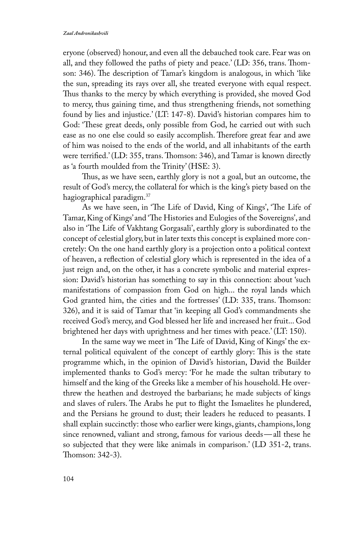eryone (observed) honour, and even all the debauched took care. Fear was on all, and they followed the paths of piety and peace.' (LD: 356, trans. Thomson: 346). The description of Tamar's kingdom is analogous, in which 'like the sun, spreading its rays over all, she treated everyone with equal respect. Thus thanks to the mercy by which everything is provided, she moved God to mercy, thus gaining time, and thus strengthening friends, not something found by lies and injustice.' (LT: 147-8). David's historian compares him to God: 'These great deeds, only possible from God, he carried out with such ease as no one else could so easily accomplish. Therefore great fear and awe of him was noised to the ends of the world, and all inhabitants of the earth were terrified.' (LD: 355, trans. Thomson: 346), and Tamar is known directly as 'a fourth moulded from the Trinity' (HSE: 3).

Thus, as we have seen, earthly glory is not a goal, but an outcome, the result of God's mercy, the collateral for which is the king's piety based on the hagiographical paradigm.37

As we have seen, in 'The Life of David, King of Kings', 'The Life of Tamar, King of Kings' and 'The Histories and Eulogies of the Sovereigns', and also in 'The Life of Vakhtang Gorgasali', earthly glory is subordinated to the concept of celestial glory, but in later texts this concept is explained more concretely: On the one hand earthly glory is a projection onto a political context of heaven, a reflection of celestial glory which is represented in the idea of a just reign and, on the other, it has a concrete symbolic and material expression: David's historian has something to say in this connection: about 'such manifestations of compassion from God on high... the royal lands which God granted him, the cities and the fortresses' (LD: 335, trans. Thomson: 326), and it is said of Tamar that 'in keeping all God's commandments she received God's mercy, and God blessed her life and increased her fruit... God brightened her days with uprightness and her times with peace.' (LT: 150).

In the same way we meet in 'The Life of David, King of Kings' the external political equivalent of the concept of earthly glory: This is the state programme which, in the opinion of David's historian, David the Builder implemented thanks to God's mercy: 'For he made the sultan tributary to himself and the king of the Greeks like a member of his household. He overthrew the heathen and destroyed the barbarians; he made subjects of kings and slaves of rulers. The Arabs he put to flight the Ismaelites he plundered, and the Persians he ground to dust; their leaders he reduced to peasants. I shall explain succinctly: those who earlier were kings, giants, champions, long since renowned, valiant and strong, famous for various deeds—all these he so subjected that they were like animals in comparison.' (LD 351-2, trans. Thomson: 342-3).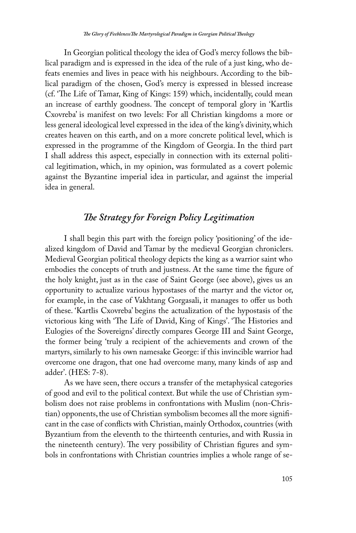In Georgian political theology the idea of God's mercy follows the biblical paradigm and is expressed in the idea of the rule of a just king, who defeats enemies and lives in peace with his neighbours. According to the biblical paradigm of the chosen, God's mercy is expressed in blessed increase (cf. 'The Life of Tamar, King of Kings: 159) which, incidentally, could mean an increase of earthly goodness. The concept of temporal glory in 'Kartlis Cxovreba' is manifest on two levels: For all Christian kingdoms a more or less general ideological level expressed in the idea of the king's divinity, which creates heaven on this earth, and on a more concrete political level, which is expressed in the programme of the Kingdom of Georgia. In the third part I shall address this aspect, especially in connection with its external political legitimation, which, in my opinion, was formulated as a covert polemic against the Byzantine imperial idea in particular, and against the imperial idea in general.

## *The Strategy for Foreign Policy Legitimation*

I shall begin this part with the foreign policy 'positioning' of the idealized kingdom of David and Tamar by the medieval Georgian chroniclers. Medieval Georgian political theology depicts the king as a warrior saint who embodies the concepts of truth and justness. At the same time the figure of the holy knight, just as in the case of Saint George (see above), gives us an opportunity to actualize various hypostases of the martyr and the victor or, for example, in the case of Vakhtang Gorgasali, it manages to offer us both of these. 'Kartlis Cxovreba' begins the actualization of the hypostasis of the victorious king with 'The Life of David, King of Kings'. 'The Histories and Eulogies of the Sovereigns' directly compares George III and Saint George, the former being 'truly a recipient of the achievements and crown of the martyrs, similarly to his own namesake George: if this invincible warrior had overcome one dragon, that one had overcome many, many kinds of asp and adder'. (HES: 7-8).

As we have seen, there occurs a transfer of the metaphysical categories of good and evil to the political context. But while the use of Christian symbolism does not raise problems in confrontations with Muslim (non-Christian) opponents, the use of Christian symbolism becomes all the more significant in the case of conflicts with Christian, mainly Orthodox, countries (with Byzantium from the eleventh to the thirteenth centuries, and with Russia in the nineteenth century). The very possibility of Christian figures and symbols in confrontations with Christian countries implies a whole range of se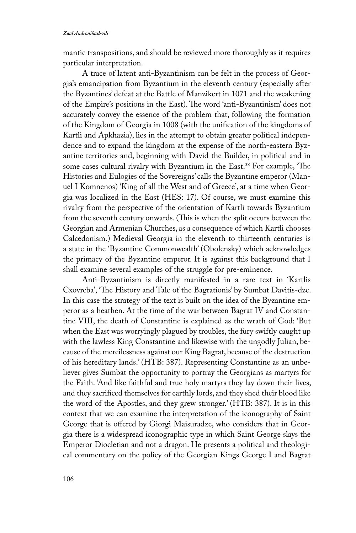mantic transpositions, and should be reviewed more thoroughly as it requires particular interpretation.

A trace of latent anti-Byzantinism can be felt in the process of Georgia's emancipation from Byzantium in the eleventh century (especially after the Byzantines' defeat at the Battle of Manzikert in 1071 and the weakening of the Empire's positions in the East). The word 'anti-Byzantinism' does not accurately convey the essence of the problem that, following the formation of the Kingdom of Georgia in 1008 (with the unification of the kingdoms of Kartli and Apkhazia), lies in the attempt to obtain greater political independence and to expand the kingdom at the expense of the north-eastern Byzantine territories and, beginning with David the Builder, in political and in some cases cultural rivalry with Byzantium in the East.<sup>38</sup> For example, 'The Histories and Eulogies of the Sovereigns' calls the Byzantine emperor (Manuel I Komnenos) 'King of all the West and of Greece', at a time when Georgia was localized in the East (HES: 17). Of course, we must examine this rivalry from the perspective of the orientation of Kartli towards Byzantium from the seventh century onwards. (This is when the split occurs between the Georgian and Armenian Churches, as a consequence of which Kartli chooses Calcedonism.) Medieval Georgia in the eleventh to thirteenth centuries is a state in the 'Byzantine Commonwealth' (Obolensky) which acknowledges the primacy of the Byzantine emperor. It is against this background that I shall examine several examples of the struggle for pre-eminence.

Anti-Byzantinism is directly manifested in a rare text in 'Kartlis Cxovreba', 'The History and Tale of the Bagrationis' by Sumbat Davitis-dze. In this case the strategy of the text is built on the idea of the Byzantine emperor as a heathen. At the time of the war between Bagrat IV and Constantine VIII, the death of Constantine is explained as the wrath of God: 'But when the East was worryingly plagued by troubles, the fury swiftly caught up with the lawless King Constantine and likewise with the ungodly Julian, because of the mercilessness against our King Bagrat, because of the destruction of his hereditary lands.' (HTB: 387). Representing Constantine as an unbeliever gives Sumbat the opportunity to portray the Georgians as martyrs for the Faith. 'And like faithful and true holy martyrs they lay down their lives, and they sacrificed themselves for earthly lords, and they shed their blood like the word of the Apostles, and they grew stronger.' (HTB: 387). It is in this context that we can examine the interpretation of the iconography of Saint George that is offered by Giorgi Maisuradze, who considers that in Georgia there is a widespread iconographic type in which Saint George slays the Emperor Diocletian and not a dragon. He presents a political and theological commentary on the policy of the Georgian Kings George I and Bagrat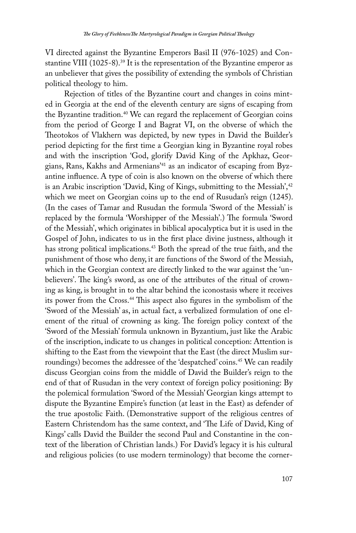VI directed against the Byzantine Emperors Basil II (976-1025) and Constantine VIII (1025-8).<sup>39</sup> It is the representation of the Byzantine emperor as an unbeliever that gives the possibility of extending the symbols of Christian political theology to him.

Rejection of titles of the Byzantine court and changes in coins minted in Georgia at the end of the eleventh century are signs of escaping from the Byzantine tradition.<sup>40</sup> We can regard the replacement of Georgian coins from the period of George I and Bagrat VI, on the obverse of which the Theotokos of Vlakhern was depicted, by new types in David the Builder's period depicting for the first time a Georgian king in Byzantine royal robes and with the inscription 'God, glorify David King of the Apkhaz, Georgians, Rans, Kakhs and Armenians'41 as an indicator of escaping from Byzantine influence. A type of coin is also known on the obverse of which there is an Arabic inscription 'David, King of Kings, submitting to the Messiah',<sup>42</sup> which we meet on Georgian coins up to the end of Rusudan's reign (1245). (In the cases of Tamar and Rusudan the formula 'Sword of the Messiah' is replaced by the formula 'Worshipper of the Messiah'.) The formula 'Sword of the Messiah', which originates in biblical apocalyptica but it is used in the Gospel of John, indicates to us in the first place divine justness, although it has strong political implications.<sup>43</sup> Both the spread of the true faith, and the punishment of those who deny, it are functions of the Sword of the Messiah, which in the Georgian context are directly linked to the war against the 'unbelievers'. The king's sword, as one of the attributes of the ritual of crowning as king, is brought in to the altar behind the iconostasis where it receives its power from the Cross.<sup>44</sup> This aspect also figures in the symbolism of the 'Sword of the Messiah' as, in actual fact, a verbalized formulation of one element of the ritual of crowning as king. The foreign policy context of the 'Sword of the Messiah' formula unknown in Byzantium, just like the Arabic of the inscription, indicate to us changes in political conception: Attention is shifting to the East from the viewpoint that the East (the direct Muslim surroundings) becomes the addressee of the 'despatched' coins.<sup>45</sup> We can readily discuss Georgian coins from the middle of David the Builder's reign to the end of that of Rusudan in the very context of foreign policy positioning: By the polemical formulation 'Sword of the Messiah' Georgian kings attempt to dispute the Byzantine Empire's function (at least in the East) as defender of the true apostolic Faith. (Demonstrative support of the religious centres of Eastern Christendom has the same context, and 'The Life of David, King of Kings' calls David the Builder the second Paul and Constantine in the context of the liberation of Christian lands.) For David's legacy it is his cultural and religious policies (to use modern terminology) that become the corner-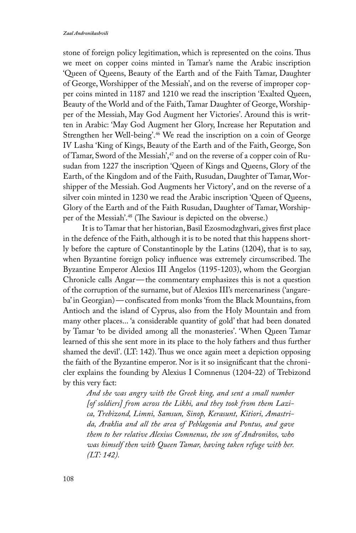stone of foreign policy legitimation, which is represented on the coins. Thus we meet on copper coins minted in Tamar's name the Arabic inscription 'Queen of Queens, Beauty of the Earth and of the Faith Tamar, Daughter of George, Worshipper of the Messiah', and on the reverse of improper copper coins minted in 1187 and 1210 we read the inscription 'Exalted Queen, Beauty of the World and of the Faith, Tamar Daughter of George, Worshipper of the Messiah, May God Augment her Victories'. Around this is written in Arabic: 'May God Augment her Glory, Increase her Reputation and Strengthen her Well-being'.46 We read the inscription on a coin of George IV Lasha 'King of Kings, Beauty of the Earth and of the Faith, George, Son of Tamar, Sword of the Messiah',<sup>47</sup> and on the reverse of a copper coin of Rusudan from 1227 the inscription 'Queen of Kings and Queens, Glory of the Earth, of the Kingdom and of the Faith, Rusudan, Daughter of Tamar, Worshipper of the Messiah. God Augments her Victory', and on the reverse of a silver coin minted in 1230 we read the Arabic inscription 'Queen of Queens, Glory of the Earth and of the Faith Rusudan, Daughter of Tamar, Worshipper of the Messiah'.<sup>48</sup> (The Saviour is depicted on the obverse.)

It is to Tamar that her historian, Basil Ezosmodzghvari, gives first place in the defence of the Faith, although it is to be noted that this happens shortly before the capture of Constantinople by the Latins (1204), that is to say, when Byzantine foreign policy influence was extremely circumscribed. The Byzantine Emperor Alexios III Angelos (1195-1203), whom the Georgian Chronicle calls Angar—the commentary emphasizes this is not a question of the corruption of the surname, but of Alexios III's mercenariness ('angareba' in Georgian)—confiscated from monks 'from the Black Mountains, from Antioch and the island of Cyprus, also from the Holy Mountain and from many other places... 'a considerable quantity of gold' that had been donated by Tamar 'to be divided among all the monasteries'. 'When Queen Tamar learned of this she sent more in its place to the holy fathers and thus further shamed the devil'. (LT: 142). Thus we once again meet a depiction opposing the faith of the Byzantine emperor. Nor is it so insignificant that the chronicler explains the founding by Alexius I Comnenus (1204-22) of Trebizond by this very fact:

*And she was angry with the Greek king, and sent a small number [of soldiers] from across the Likhi, and they took from them Lazica, Trebizond, Limni, Samsun, Sinop, Kerasunt, Kitiori, Amastrida, Araklia and all the area of Peblagonia and Pontus, and gave them to her relative Alexius Comnenus, the son of Andronikos, who was himself then with Queen Tamar, having taken refuge with her. (LT: 142).*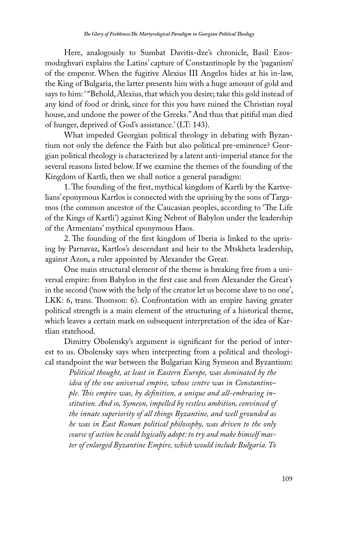Here, analogously to Sumbat Davitis-dze's chronicle, Basil Ezosmodzghvari explains the Latins' capture of Constantinople by the 'paganism' of the emperor. When the fugitive Alexius III Angelos hides at his in-law, the King of Bulgaria, the latter presents him with a huge amount of gold and says to him: "Behold, Alexius, that which you desire; take this gold instead of any kind of food or drink, since for this you have ruined the Christian royal house, and undone the power of the Greeks." And thus that pitiful man died of hunger, deprived of God's assistance.' (LT: 143).

What impeded Georgian political theology in debating with Byzantium not only the defence the Faith but also political pre-eminence? Georgian political theology is characterized by a latent anti-imperial stance for the several reasons listed below. If we examine the themes of the founding of the Kingdom of Kartli, then we shall notice a general paradigm:

1. The founding of the first, mythical kingdom of Kartli by the Kartvelians' eponymous Kartlos is connected with the uprising by the sons of Targamos (the common ancestor of the Caucasian peoples, according to 'The Life of the Kings of Kartli') against King Nebrot of Babylon under the leadership of the Armenians' mythical eponymous Haos.

2. The founding of the first kingdom of Iberia is linked to the uprising by Parnavaz, Kartlos's descendant and heir to the Mtskheta leadership, against Azon, a ruler appointed by Alexander the Great.

One main structural element of the theme is breaking free from a universal empire: from Babylon in the first case and from Alexander the Great's in the second ('now with the help of the creator let us become slave to no one', LKK: 6, trans. Thomson: 6). Confrontation with an empire having greater political strength is a main element of the structuring of a historical theme, which leaves a certain mark on subsequent interpretation of the idea of Kartlian statehood.

Dimitry Obolensky's argument is significant for the period of interest to us. Obolensky says when interpreting from a political and theological standpoint the war between the Bulgarian King Symeon and Byzantium:

*Political thought, at least in Eastern Europe, was dominated by the idea of the one universal empire, whose centre was in Constantinople. This empire was, by definition, a unique and all-embracing institution. And so, Symeon, impelled by restless ambition, convinced of the innate superiority of all things Byzantine, and well grounded as he was in East Roman political philosophy, was driven to the only course of action he could logically adopt: to try and make himself master of enlarged Byzantine Empire, which would include Bulgaria. To*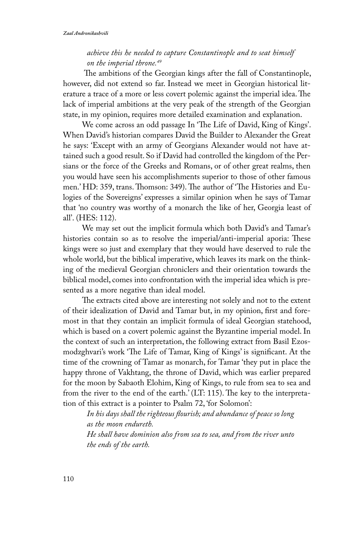#### *achieve this he needed to capture Constantinople and to seat himself on the imperial throne.49*

 The ambitions of the Georgian kings after the fall of Constantinople, however, did not extend so far. Instead we meet in Georgian historical literature a trace of a more or less covert polemic against the imperial idea. The lack of imperial ambitions at the very peak of the strength of the Georgian state, in my opinion, requires more detailed examination and explanation.

We come across an odd passage In 'The Life of David, King of Kings'. When David's historian compares David the Builder to Alexander the Great he says: 'Except with an army of Georgians Alexander would not have attained such a good result. So if David had controlled the kingdom of the Persians or the force of the Greeks and Romans, or of other great realms, then you would have seen his accomplishments superior to those of other famous men.' HD: 359, trans. Thomson: 349). The author of 'The Histories and Eulogies of the Sovereigns' expresses a similar opinion when he says of Tamar that 'no country was worthy of a monarch the like of her, Georgia least of all'. (HES: 112).

We may set out the implicit formula which both David's and Tamar's histories contain so as to resolve the imperial/anti-imperial aporia: These kings were so just and exemplary that they would have deserved to rule the whole world, but the biblical imperative, which leaves its mark on the thinking of the medieval Georgian chroniclers and their orientation towards the biblical model, comes into confrontation with the imperial idea which is presented as a more negative than ideal model.

The extracts cited above are interesting not solely and not to the extent of their idealization of David and Tamar but, in my opinion, first and foremost in that they contain an implicit formula of ideal Georgian statehood, which is based on a covert polemic against the Byzantine imperial model. In the context of such an interpretation, the following extract from Basil Ezosmodzghvari's work 'The Life of Tamar, King of Kings' is significant. At the time of the crowning of Tamar as monarch, for Tamar 'they put in place the happy throne of Vakhtang, the throne of David, which was earlier prepared for the moon by Sabaoth Elohim, King of Kings, to rule from sea to sea and from the river to the end of the earth.' (LT: 115). The key to the interpretation of this extract is a pointer to Psalm 72, 'for Solomon':

*In his days shall the righteous flourish; and abundance of peace so long as the moon endureth. He shall have dominion also from sea to sea, and from the river unto the ends of the earth.*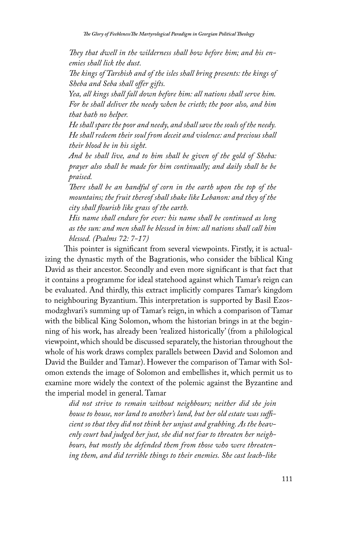*They that dwell in the wilderness shall bow before him; and his enemies shall lick the dust.*

*The kings of Tarshish and of the isles shall bring presents: the kings of Sheba and Seba shall offer gifts.*

*Yea, all kings shall fall down before him: all nations shall serve him. For he shall deliver the needy when he crieth; the poor also, and him that hath no helper.*

*He shall spare the poor and needy, and shall save the souls of the needy. He shall redeem their soul from deceit and violence: and precious shall their blood be in his sight.*

*And he shall live, and to him shall be given of the gold of Sheba: prayer also shall be made for him continually; and daily shall he be praised.*

*There shall be an handful of corn in the earth upon the top of the mountains; the fruit thereof shall shake like Lebanon: and they of the city shall flourish like grass of the earth.*

*His name shall endure for ever: his name shall be continued as long as the sun: and men shall be blessed in him: all nations shall call him blessed. (Psalms 72: 7-17)*

This pointer is significant from several viewpoints. Firstly, it is actualizing the dynastic myth of the Bagrationis, who consider the biblical King David as their ancestor. Secondly and even more significant is that fact that it contains a programme for ideal statehood against which Tamar's reign can be evaluated. And thirdly, this extract implicitly compares Tamar's kingdom to neighbouring Byzantium. This interpretation is supported by Basil Ezosmodzghvari's summing up of Tamar's reign, in which a comparison of Tamar with the biblical King Solomon, whom the historian brings in at the beginning of his work, has already been 'realized historically' (from a philological viewpoint, which should be discussed separately, the historian throughout the whole of his work draws complex parallels between David and Solomon and David the Builder and Tamar). However the comparison of Tamar with Solomon extends the image of Solomon and embellishes it, which permit us to examine more widely the context of the polemic against the Byzantine and the imperial model in general. Tamar

*did not strive to remain without neighbours; neither did she join house to house, nor land to another's land, but her old estate was sufficient so that they did not think her unjust and grabbing. As the heavenly court had judged her just, she did not fear to threaten her neighbours, but mostly she defended them from those who were threatening them, and did terrible things to their enemies. She cast leach-like*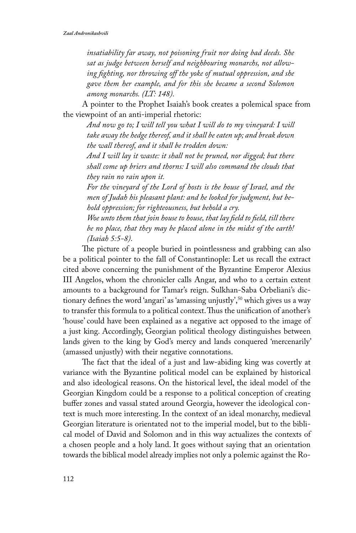*insatiability far away, not poisoning fruit nor doing bad deeds. She sat as judge between herself and neighbouring monarchs, not allowing fighting, nor throwing off the yoke of mutual oppression, and she gave them her example, and for this she became a second Solomon among monarchs. (LT: 148).*

A pointer to the Prophet Isaiah's book creates a polemical space from the viewpoint of an anti-imperial rhetoric:

*And now go to; I will tell you what I will do to my vineyard: I will take away the hedge thereof, and it shall be eaten up; and break down the wall thereof, and it shall be trodden down:*

*And I will lay it waste: it shall not be pruned, nor digged; but there shall come up briers and thorns: I will also command the clouds that they rain no rain upon it.*

*For the vineyard of the Lord of hosts is the house of Israel, and the men of Judah his pleasant plant: and he looked for judgment, but behold oppression; for righteousness, but behold a cry.*

*Woe unto them that join house to house, that lay field to field, till there be no place, that they may be placed alone in the midst of the earth! (Isaiah 5:5-8).*

The picture of a people buried in pointlessness and grabbing can also be a political pointer to the fall of Constantinople: Let us recall the extract cited above concerning the punishment of the Byzantine Emperor Alexius III Angelos, whom the chronicler calls Angar, and who to a certain extent amounts to a background for Tamar's reign. Sulkhan-Saba Orbeliani's dictionary defines the word 'angari' as 'amassing unjustly',<sup>50</sup> which gives us a way to transfer this formula to a political context. Thus the unification of another's 'house' could have been explained as a negative act opposed to the image of a just king. Accordingly, Georgian political theology distinguishes between lands given to the king by God's mercy and lands conquered 'mercenarily' (amassed unjustly) with their negative connotations.

The fact that the ideal of a just and law-abiding king was covertly at variance with the Byzantine political model can be explained by historical and also ideological reasons. On the historical level, the ideal model of the Georgian Kingdom could be a response to a political conception of creating buffer zones and vassal stated around Georgia, however the ideological context is much more interesting. In the context of an ideal monarchy, medieval Georgian literature is orientated not to the imperial model, but to the biblical model of David and Solomon and in this way actualizes the contexts of a chosen people and a holy land. It goes without saying that an orientation towards the biblical model already implies not only a polemic against the Ro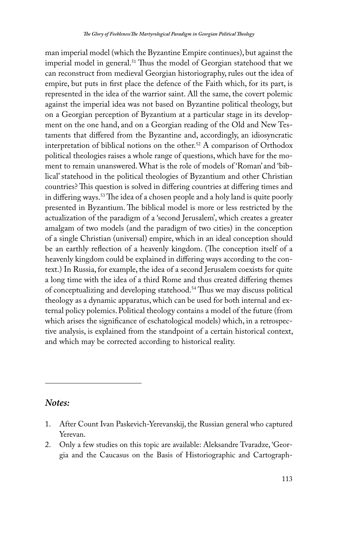man imperial model (which the Byzantine Empire continues), but against the imperial model in general.<sup>51</sup> Thus the model of Georgian statehood that we can reconstruct from medieval Georgian historiography, rules out the idea of empire, but puts in first place the defence of the Faith which, for its part, is represented in the idea of the warrior saint. All the same, the covert polemic against the imperial idea was not based on Byzantine political theology, but on a Georgian perception of Byzantium at a particular stage in its development on the one hand, and on a Georgian reading of the Old and New Testaments that differed from the Byzantine and, accordingly, an idiosyncratic interpretation of biblical notions on the other.<sup>52</sup> A comparison of Orthodox political theologies raises a whole range of questions, which have for the moment to remain unanswered. What is the role of models of 'Roman' and 'biblical' statehood in the political theologies of Byzantium and other Christian countries? This question is solved in differing countries at differing times and in differing ways.53 The idea of a chosen people and a holy land is quite poorly presented in Byzantium. The biblical model is more or less restricted by the actualization of the paradigm of a 'second Jerusalem', which creates a greater amalgam of two models (and the paradigm of two cities) in the conception of a single Christian (universal) empire, which in an ideal conception should be an earthly reflection of a heavenly kingdom. (The conception itself of a heavenly kingdom could be explained in differing ways according to the context.) In Russia, for example, the idea of a second Jerusalem coexists for quite a long time with the idea of a third Rome and thus created differing themes of conceptualizing and developing statehood.<sup>54</sup> Thus we may discuss political theology as a dynamic apparatus, which can be used for both internal and external policy polemics. Political theology contains a model of the future (from which arises the significance of eschatological models) which, in a retrospective analysis, is explained from the standpoint of a certain historical context, and which may be corrected according to historical reality.

### *Notes:*

- 1. After Count Ivan Paskevich-Yerevanskij, the Russian general who captured Yerevan.
- 2. Only a few studies on this topic are available: Aleksandre Tvaradze, 'Georgia and the Caucasus on the Basis of Historiographic and Cartograph-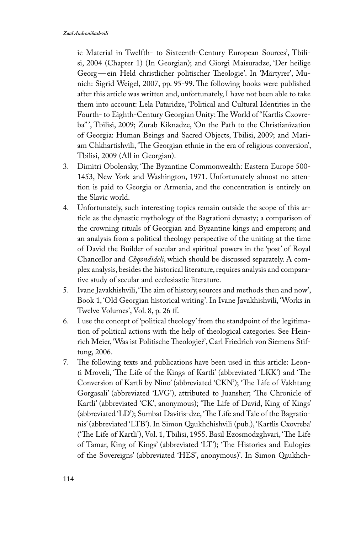ic Material in Twelfth- to Sixteenth-Century European Sources', Tbilisi, 2004 (Chapter 1) (In Georgian); and Giorgi Maisuradze, 'Der heilige Georg—ein Held christlicher politischer Theologie'. In 'Märtyrer', Munich: Sigrid Weigel, 2007, pp. 95-99. The following books were published after this article was written and, unfortunately, I have not been able to take them into account: Lela Pataridze, 'Political and Cultural Identities in the Fourth- to Eighth-Century Georgian Unity: The World of "Kartlis Cxovreba" ', Tbilisi, 2009; Zurab Kiknadze, 'On the Path to the Christianization of Georgia: Human Beings and Sacred Objects, Tbilisi, 2009; and Mariam Chkhartishvili, 'The Georgian ethnie in the era of religious conversion', Tbilisi, 2009 (All in Georgian).

- 3. Dimitri Obolensky, 'The Byzantine Commonwealth: Eastern Europe 500- 1453, New York and Washington, 1971. Unfortunately almost no attention is paid to Georgia or Armenia, and the concentration is entirely on the Slavic world.
- 4. Unfortunately, such interesting topics remain outside the scope of this article as the dynastic mythology of the Bagrationi dynasty; a comparison of the crowning rituals of Georgian and Byzantine kings and emperors; and an analysis from a political theology perspective of the uniting at the time of David the Builder of secular and spiritual powers in the 'post' of Royal Chancellor and *Chqondideli*, which should be discussed separately. A complex analysis, besides the historical literature, requires analysis and comparative study of secular and ecclesiastic literature.
- 5. Ivane Javakhishvili, 'The aim of history, sources and methods then and now', Book 1, 'Old Georgian historical writing'. In Ivane Javakhishvili, 'Works in Twelve Volumes', Vol. 8, p. 26 ff.
- 6. I use the concept of 'political theology' from the standpoint of the legitimation of political actions with the help of theological categories. See Heinrich Meier, 'Was ist Politische Theologie?', Carl Friedrich von Siemens Stiftung, 2006.
- 7. The following texts and publications have been used in this article: Leonti Mroveli, 'The Life of the Kings of Kartli' (abbreviated 'LKK') and 'The Conversion of Kartli by Nino' (abbreviated 'CKN'); 'The Life of Vakhtang Gorgasali' (abbreviated 'LVG'), attributed to Juansher; 'The Chronicle of Kartli' (abbreviated 'CK', anonymous); 'The Life of David, King of Kings' (abbreviated 'LD'); Sumbat Davitis-dze, 'The Life and Tale of the Bagrationis' (abbreviated 'LTB'). In Simon Qaukhchishvili (pub.), 'Kartlis Cxovreba' ('The Life of Kartli'), Vol. 1, Tbilisi, 1955. Basil Ezosmodzghvari, 'The Life of Tamar, King of Kings' (abbreviated 'LT'); 'The Histories and Eulogies of the Sovereigns' (abbreviated 'HES', anonymous)'. In Simon Qaukhch-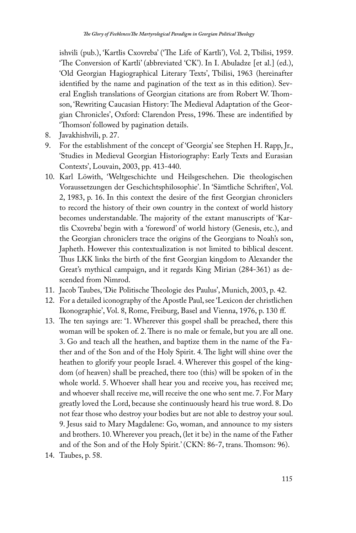ishvili (pub.), 'Kartlis Cxovreba' ('The Life of Kartli'), Vol. 2, Tbilisi, 1959. 'The Conversion of Kartli' (abbreviated 'CK'). In I. Abuladze [et al.] (ed.), 'Old Georgian Hagiographical Literary Texts', Tbilisi, 1963 (hereinafter identified by the name and pagination of the text as in this edition). Several English translations of Georgian citations are from Robert W. Thomson, 'Rewriting Caucasian History: The Medieval Adaptation of the Georgian Chronicles', Oxford: Clarendon Press, 1996. These are indentified by 'Thomson' followed by pagination details.

- 8. Javakhishvili, p. 27.
- 9. For the establishment of the concept of 'Georgia' see Stephen H. Rapp, Jr., 'Studies in Medieval Georgian Historiography: Early Texts and Eurasian Contexts', Louvain, 2003, pp. 413-440.
- 10. Karl Löwith, 'Weltgeschichte und Heilsgeschehen. Die theologischen Voraussetzungen der Geschichtsphilosophie'. In 'Sämtliche Schriften', Vol. 2, 1983, p. 16. In this context the desire of the first Georgian chroniclers to record the history of their own country in the context of world history becomes understandable. The majority of the extant manuscripts of 'Kartlis Cxovreba' begin with a 'foreword' of world history (Genesis, etc.), and the Georgian chroniclers trace the origins of the Georgians to Noah's son, Japheth. However this contextualization is not limited to biblical descent. Thus LKK links the birth of the first Georgian kingdom to Alexander the Great's mythical campaign, and it regards King Mirian (284-361) as descended from Nimrod.
- 11. Jacob Taubes, 'Die Politische Theologie des Paulus', Munich, 2003, p. 42.
- 12. For a detailed iconography of the Apostle Paul, see 'Lexicon der christlichen Ikonographie', Vol. 8, Rome, Freiburg, Basel and Vienna, 1976, p. 130 ff.
- 13. The ten sayings are: '1. Wherever this gospel shall be preached, there this woman will be spoken of. 2. There is no male or female, but you are all one. 3. Go and teach all the heathen, and baptize them in the name of the Father and of the Son and of the Holy Spirit. 4. The light will shine over the heathen to glorify your people Israel. 4. Wherever this gospel of the kingdom (of heaven) shall be preached, there too (this) will be spoken of in the whole world. 5. Whoever shall hear you and receive you, has received me; and whoever shall receive me, will receive the one who sent me. 7. For Mary greatly loved the Lord, because she continuously heard his true word. 8. Do not fear those who destroy your bodies but are not able to destroy your soul. 9. Jesus said to Mary Magdalene: Go, woman, and announce to my sisters and brothers. 10. Wherever you preach, (let it be) in the name of the Father and of the Son and of the Holy Spirit.' (CKN: 86-7, trans. Thomson: 96).
- 14. Taubes, p. 58.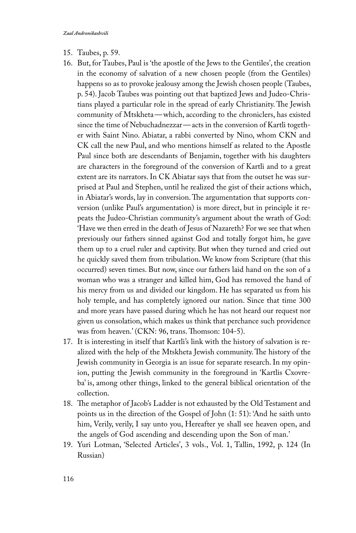- 15. Taubes, p. 59.
- 16. But, for Taubes, Paul is 'the apostle of the Jews to the Gentiles', the creation in the economy of salvation of a new chosen people (from the Gentiles) happens so as to provoke jealousy among the Jewish chosen people (Taubes, p. 54). Jacob Taubes was pointing out that baptized Jews and Judeo-Christians played a particular role in the spread of early Christianity. The Jewish community of Mtskheta—which, according to the chroniclers, has existed since the time of Nebuchadnezzar—acts in the conversion of Kartli together with Saint Nino. Abiatar, a rabbi converted by Nino, whom CKN and CK call the new Paul, and who mentions himself as related to the Apostle Paul since both are descendants of Benjamin, together with his daughters are characters in the foreground of the conversion of Kartli and to a great extent are its narrators. In CK Abiatar says that from the outset he was surprised at Paul and Stephen, until he realized the gist of their actions which, in Abiatar's words, lay in conversion. The argumentation that supports conversion (unlike Paul's argumentation) is more direct, but in principle it repeats the Judeo-Christian community's argument about the wrath of God: 'Have we then erred in the death of Jesus of Nazareth? For we see that when previously our fathers sinned against God and totally forgot him, he gave them up to a cruel ruler and captivity. But when they turned and cried out he quickly saved them from tribulation. We know from Scripture (that this occurred) seven times. But now, since our fathers laid hand on the son of a woman who was a stranger and killed him, God has removed the hand of his mercy from us and divided our kingdom. He has separated us from his holy temple, and has completely ignored our nation. Since that time 300 and more years have passed during which he has not heard our request nor given us consolation, which makes us think that perchance such providence was from heaven.' (CKN: 96, trans. Thomson: 104-5).
- 17. It is interesting in itself that Kartli's link with the history of salvation is realized with the help of the Mtskheta Jewish community. The history of the Jewish community in Georgia is an issue for separate research. In my opinion, putting the Jewish community in the foreground in 'Kartlis Cxovreba' is, among other things, linked to the general biblical orientation of the collection.
- 18. The metaphor of Jacob's Ladder is not exhausted by the Old Testament and points us in the direction of the Gospel of John (1: 51): 'And he saith unto him, Verily, verily, I say unto you, Hereafter ye shall see heaven open, and the angels of God ascending and descending upon the Son of man.'
- 19. Yuri Lotman, 'Selected Articles', 3 vols., Vol. 1, Tallin, 1992, p. 124 (In Russian)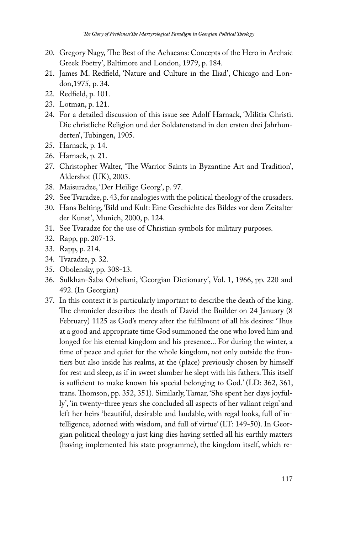- 20. Gregory Nagy, 'The Best of the Achaeans: Concepts of the Hero in Archaic Greek Poetry', Baltimore and London, 1979, p. 184.
- 21. James M. Redfield, 'Nature and Culture in the Iliad', Chicago and London,1975, p. 34.
- 22. Redfield, p. 101.
- 23. Lotman, p. 121.
- 24. For a detailed discussion of this issue see Adolf Harnack, 'Militia Christi. Die christliche Religion und der Soldatenstand in den ersten drei Jahrhunderten', Tubingen, 1905.
- 25. Harnack, p. 14.
- 26. Harnack, p. 21.
- 27. Christopher Walter, 'The Warrior Saints in Byzantine Art and Tradition', Aldershot (UK), 2003.
- 28. Maisuradze, 'Der Heilige Georg', p. 97.
- 29. See Tvaradze, p. 43, for analogies with the political theology of the crusaders.
- 30. Hans Belting, 'Bild und Kult: Eine Geschichte des Bildes vor dem Zeitalter der Kunst', Munich, 2000, p. 124.
- 31. See Tvaradze for the use of Christian symbols for military purposes.
- 32. Rapp, pp. 207-13.
- 33. Rapp, p. 214.
- 34. Tvaradze, p. 32.
- 35. Obolensky, pp. 308-13.
- 36. Sulkhan-Saba Orbeliani, 'Georgian Dictionary', Vol. 1, 1966, pp. 220 and 492. (In Georgian)
- 37. In this context it is particularly important to describe the death of the king. The chronicler describes the death of David the Builder on 24 January (8 February) 1125 as God's mercy after the fulfilment of all his desires: 'Thus at a good and appropriate time God summoned the one who loved him and longed for his eternal kingdom and his presence... For during the winter, a time of peace and quiet for the whole kingdom, not only outside the frontiers but also inside his realms, at the (place) previously chosen by himself for rest and sleep, as if in sweet slumber he slept with his fathers. This itself is sufficient to make known his special belonging to God.' (LD: 362, 361, trans. Thomson, pp. 352, 351). Similarly, Tamar, 'She spent her days joyfully', 'in twenty-three years she concluded all aspects of her valiant reign' and left her heirs 'beautiful, desirable and laudable, with regal looks, full of intelligence, adorned with wisdom, and full of virtue' (LT: 149-50). In Georgian political theology a just king dies having settled all his earthly matters (having implemented his state programme), the kingdom itself, which re-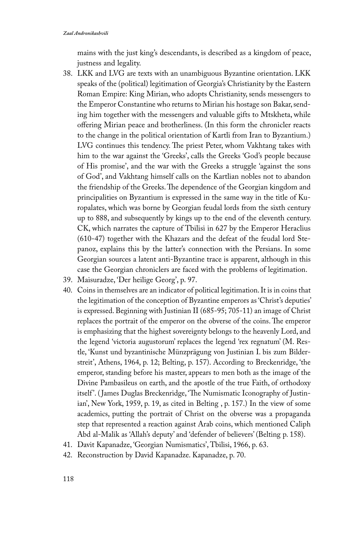#### *Zaal Andronikashvili*

mains with the just king's descendants, is described as a kingdom of peace, justness and legality.

- 38. LKK and LVG are texts with an unambiguous Byzantine orientation. LKK speaks of the (political) legitimation of Georgia's Christianity by the Eastern Roman Empire: King Mirian, who adopts Christianity, sends messengers to the Emperor Constantine who returns to Mirian his hostage son Bakar, sending him together with the messengers and valuable gifts to Mtskheta, while offering Mirian peace and brotherliness. (In this form the chronicler reacts to the change in the political orientation of Kartli from Iran to Byzantium.) LVG continues this tendency. The priest Peter, whom Vakhtang takes with him to the war against the 'Greeks', calls the Greeks 'God's people because of His promise', and the war with the Greeks a struggle 'against the sons of God', and Vakhtang himself calls on the Kartlian nobles not to abandon the friendship of the Greeks. The dependence of the Georgian kingdom and principalities on Byzantium is expressed in the same way in the title of Kuropalates, which was borne by Georgian feudal lords from the sixth century up to 888, and subsequently by kings up to the end of the eleventh century. CK, which narrates the capture of Tbilisi in 627 by the Emperor Heraclius (610-47) together with the Khazars and the defeat of the feudal lord Stepanoz, explains this by the latter's connection with the Persians. In some Georgian sources a latent anti-Byzantine trace is apparent, although in this case the Georgian chroniclers are faced with the problems of legitimation.
- 39. Maisuradze, 'Der heilige Georg', p. 97.
- 40. Coins in themselves are an indicator of political legitimation. It is in coins that the legitimation of the conception of Byzantine emperors as 'Christ's deputies' is expressed. Beginning with Justinian II (685-95; 705-11) an image of Christ replaces the portrait of the emperor on the obverse of the coins. The emperor is emphasizing that the highest sovereignty belongs to the heavenly Lord, and the legend 'victoria augustorum' replaces the legend 'rex regnatum' (M. Restle, 'Kunst und byzantinische Münzprägung von Justinian I. bis zum Bilderstreit', Athens, 1964, p. 12; Belting, p. 157). According to Breckenridge, 'the emperor, standing before his master, appears to men both as the image of the Divine Pambasileus on earth, and the apostle of the true Faith, of orthodoxy itself '. ( James Duglas Breckenridge, 'The Numismatic Iconography of Justinian', New York, 1959, p. 19, as cited in Belting , p. 157.) In the view of some academics, putting the portrait of Christ on the obverse was a propaganda step that represented a reaction against Arab coins, which mentioned Caliph Abd al-Malik as 'Allah's deputy' and 'defender of believers' (Belting p. 158).
- 41. Davit Kapanadze, 'Georgian Numismatics', Tbilisi, 1966, p. 63.
- 42. Reconstruction by David Kapanadze. Kapanadze, p. 70.